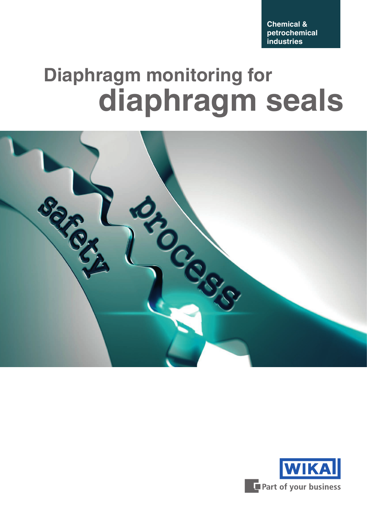**Chemical & petrochemical industries**

# **Diaphragm monitoring for diaphragm seals**



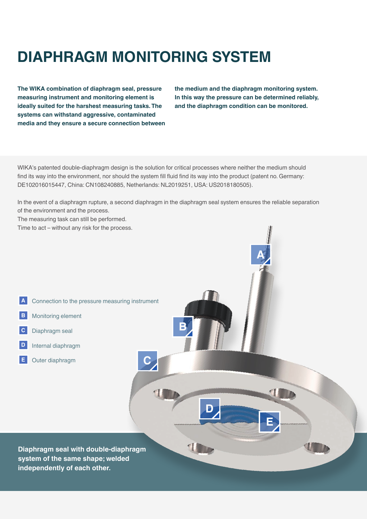## **DIAPHRAGM MONITORING SYSTEM**

**The WIKA combination of diaphragm seal, pressure measuring instrument and monitoring element is ideally suited for the harshest measuring tasks. The systems can withstand aggressive, contaminated media and they ensure a secure connection between**  **the medium and the diaphragm monitoring system. In this way the pressure can be determined reliably, and the diaphragm condition can be monitored.**

WIKA's patented double-diaphragm design is the solution for critical processes where neither the medium should find its way into the environment, nor should the system fill fluid find its way into the product (patent no. Germany: DE102016015447, China: CN108240885, Netherlands: NL2019251, USA: US2018180505).

In the event of a diaphragm rupture, a second diaphragm in the diaphragm seal system ensures the reliable separation of the environment and the process.

**B**

**C**

**D**

**E**

**A**

The measuring task can still be performed.

Time to act – without any risk for the process.

- **A** Connection to the pressure measuring instrument
- **B** Monitoring element
- **C** Diaphragm seal
- **D** Internal diaphragm
- **E** Outer diaphragm

**Diaphragm seal with double-diaphragm system of the same shape; welded independently of each other.**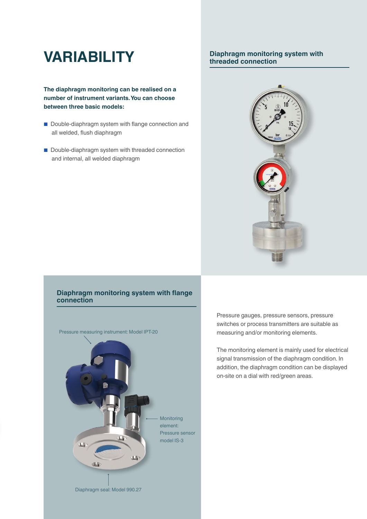### **VARIABILITY**

**The diaphragm monitoring can be realised on a number of instrument variants. You can choose between three basic models:**

- Double-diaphragm system with flange connection and all welded, flush diaphragm
- Double-diaphragm system with threaded connection and internal, all welded diaphragm

#### **Diaphragm monitoring system with threaded connection**



#### **Diaphragm monitoring system with flange connection**



Pressure gauges, pressure sensors, pressure switches or process transmitters are suitable as measuring and/or monitoring elements.

The monitoring element is mainly used for electrical signal transmission of the diaphragm condition. In addition, the diaphragm condition can be displayed on-site on a dial with red/green areas.